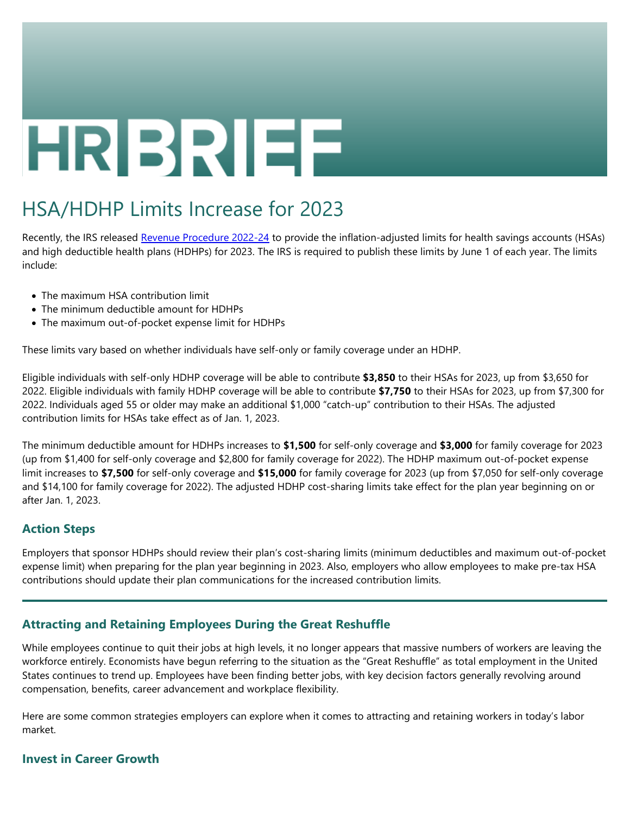# HRBRIEF

## HSA/HDHP Limits Increase for 2023

Recently, the IRS released [Revenue Procedure 2022-24](https://www.irs.gov/pub/irs-drop/rp-22-24.pdf) to provide the inflation-adjusted limits for health savings accounts (HSAs) and high deductible health plans (HDHPs) for 2023. The IRS is required to publish these limits by June 1 of each year. The limits include:

- The maximum HSA contribution limit
- The minimum deductible amount for HDHPs
- The maximum out-of-pocket expense limit for HDHPs

These limits vary based on whether individuals have self-only or family coverage under an HDHP.

Eligible individuals with self-only HDHP coverage will be able to contribute **\$3,850** to their HSAs for 2023, up from \$3,650 for 2022. Eligible individuals with family HDHP coverage will be able to contribute **\$7,750** to their HSAs for 2023, up from \$7,300 for 2022. Individuals aged 55 or older may make an additional \$1,000 "catch-up" contribution to their HSAs. The adjusted contribution limits for HSAs take effect as of Jan. 1, 2023.

The minimum deductible amount for HDHPs increases to **\$1,500** for self-only coverage and **\$3,000** for family coverage for 2023 (up from \$1,400 for self-only coverage and \$2,800 for family coverage for 2022). The HDHP maximum out-of-pocket expense limit increases to **\$7,500** for self-only coverage and **\$15,000** for family coverage for 2023 (up from \$7,050 for self-only coverage and \$14,100 for family coverage for 2022). The adjusted HDHP cost-sharing limits take effect for the plan year beginning on or after Jan. 1, 2023.

#### **Action Steps**

Employers that sponsor HDHPs should review their plan's cost-sharing limits (minimum deductibles and maximum out-of-pocket expense limit) when preparing for the plan year beginning in 2023. Also, employers who allow employees to make pre-tax HSA contributions should update their plan communications for the increased contribution limits.

#### **Attracting and Retaining Employees During the Great Reshuffle**

While employees continue to quit their jobs at high levels, it no longer appears that massive numbers of workers are leaving the workforce entirely. Economists have begun referring to the situation as the "Great Reshuffle" as total employment in the United States continues to trend up. Employees have been finding better jobs, with key decision factors generally revolving around compensation, benefits, career advancement and workplace flexibility.

Here are some common strategies employers can explore when it comes to attracting and retaining workers in today's labor market.

#### **Invest in Career Growth**